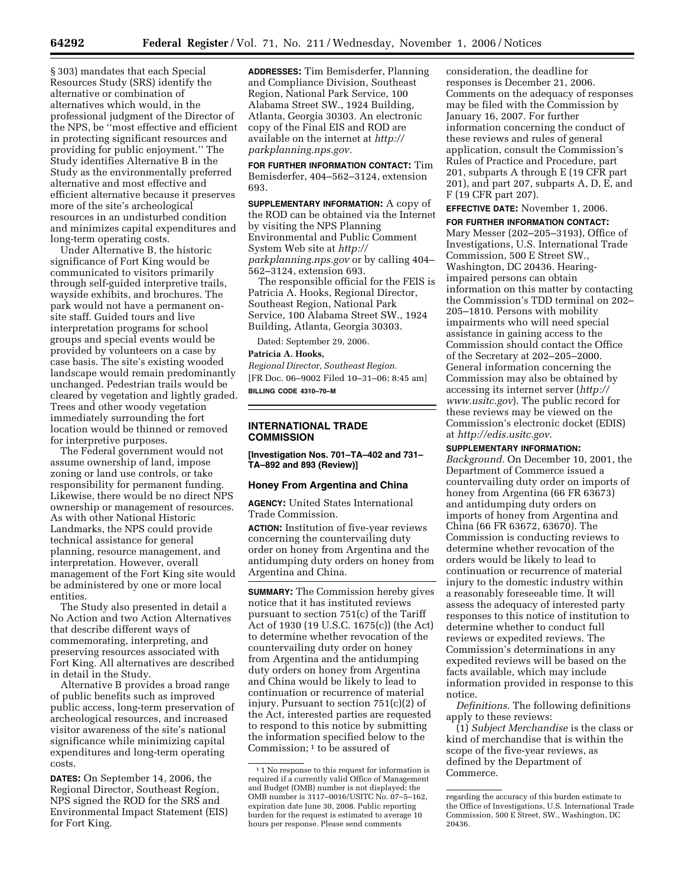§ 303) mandates that each Special Resources Study (SRS) identify the alternative or combination of alternatives which would, in the professional judgment of the Director of the NPS, be ''most effective and efficient in protecting significant resources and providing for public enjoyment.'' The Study identifies Alternative B in the Study as the environmentally preferred alternative and most effective and efficient alternative because it preserves more of the site's archeological resources in an undisturbed condition and minimizes capital expenditures and long-term operating costs.

Under Alternative B, the historic significance of Fort King would be communicated to visitors primarily through self-guided interpretive trails, wayside exhibits, and brochures. The park would not have a permanent onsite staff. Guided tours and live interpretation programs for school groups and special events would be provided by volunteers on a case by case basis. The site's existing wooded landscape would remain predominantly unchanged. Pedestrian trails would be cleared by vegetation and lightly graded. Trees and other woody vegetation immediately surrounding the fort location would be thinned or removed for interpretive purposes.

The Federal government would not assume ownership of land, impose zoning or land use controls, or take responsibility for permanent funding. Likewise, there would be no direct NPS ownership or management of resources. As with other National Historic Landmarks, the NPS could provide technical assistance for general planning, resource management, and interpretation. However, overall management of the Fort King site would be administered by one or more local entities.

The Study also presented in detail a No Action and two Action Alternatives that describe different ways of commemorating, interpreting, and preserving resources associated with Fort King. All alternatives are described in detail in the Study.

Alternative B provides a broad range of public benefits such as improved public access, long-term preservation of archeological resources, and increased visitor awareness of the site's national significance while minimizing capital expenditures and long-term operating costs.

**DATES:** On September 14, 2006, the Regional Director, Southeast Region, NPS signed the ROD for the SRS and Environmental Impact Statement (EIS) for Fort King.

**ADDRESSES:** Tim Bemisderfer, Planning and Compliance Division, Southeast Region, National Park Service, 100 Alabama Street SW., 1924 Building, Atlanta, Georgia 30303. An electronic copy of the Final EIS and ROD are available on the internet at *http:// parkplanning.nps.gov.* 

**FOR FURTHER INFORMATION CONTACT:** Tim Bemisderfer, 404–562–3124, extension 693.

**SUPPLEMENTARY INFORMATION:** A copy of the ROD can be obtained via the Internet by visiting the NPS Planning Environmental and Public Comment System Web site at *http:// parkplanning.nps.gov* or by calling 404– 562–3124, extension 693.

The responsible official for the FEIS is Patricia A. Hooks, Regional Director, Southeast Region, National Park Service, 100 Alabama Street SW., 1924 Building, Atlanta, Georgia 30303.

Dated: September 29, 2006.

**Patricia A. Hooks,** 

*Regional Director, Southeast Region.*  [FR Doc. 06–9002 Filed 10–31–06; 8:45 am] **BILLING CODE 4310–70–M** 

# **INTERNATIONAL TRADE COMMISSION**

**[Investigation Nos. 701–TA–402 and 731– TA–892 and 893 (Review)]** 

### **Honey From Argentina and China**

**AGENCY:** United States International Trade Commission.

**ACTION:** Institution of five-year reviews concerning the countervailing duty order on honey from Argentina and the antidumping duty orders on honey from Argentina and China.

**SUMMARY:** The Commission hereby gives notice that it has instituted reviews pursuant to section 751(c) of the Tariff Act of 1930 (19 U.S.C. 1675(c)) (the Act) to determine whether revocation of the countervailing duty order on honey from Argentina and the antidumping duty orders on honey from Argentina and China would be likely to lead to continuation or recurrence of material injury. Pursuant to section 751(c)(2) of the Act, interested parties are requested to respond to this notice by submitting the information specified below to the Commission; 1 to be assured of

consideration, the deadline for responses is December 21, 2006. Comments on the adequacy of responses may be filed with the Commission by January 16, 2007. For further information concerning the conduct of these reviews and rules of general application, consult the Commission's Rules of Practice and Procedure, part 201, subparts A through E (19 CFR part 201), and part 207, subparts A, D, E, and F (19 CFR part 207).

**EFFECTIVE DATE:** November 1, 2006.

**FOR FURTHER INFORMATION CONTACT:**  Mary Messer (202–205–3193), Office of Investigations, U.S. International Trade Commission, 500 E Street SW., Washington, DC 20436. Hearingimpaired persons can obtain information on this matter by contacting the Commission's TDD terminal on 202– 205–1810. Persons with mobility impairments who will need special assistance in gaining access to the Commission should contact the Office of the Secretary at 202–205–2000. General information concerning the Commission may also be obtained by accessing its internet server (*http:// www.usitc.gov*). The public record for these reviews may be viewed on the Commission's electronic docket (EDIS) at *http://edis.usitc.gov.* 

### **SUPPLEMENTARY INFORMATION:**

*Background.* On December 10, 2001, the Department of Commerce issued a countervailing duty order on imports of honey from Argentina (66 FR 63673) and antidumping duty orders on imports of honey from Argentina and China (66 FR 63672, 63670). The Commission is conducting reviews to determine whether revocation of the orders would be likely to lead to continuation or recurrence of material injury to the domestic industry within a reasonably foreseeable time. It will assess the adequacy of interested party responses to this notice of institution to determine whether to conduct full reviews or expedited reviews. The Commission's determinations in any expedited reviews will be based on the facts available, which may include information provided in response to this notice.

*Definitions.* The following definitions apply to these reviews:

(1) *Subject Merchandise* is the class or kind of merchandise that is within the scope of the five-year reviews, as defined by the Department of Commerce.

<sup>1</sup> 1 No response to this request for information is required if a currently valid Office of Management and Budget (OMB) number is not displayed; the OMB number is 3117–0016/USITC No. 07–5–162, expiration date June 30, 2008. Public reporting burden for the request is estimated to average 10 hours per response. Please send comments

regarding the accuracy of this burden estimate to the Office of Investigations, U.S. International Trade Commission, 500 E Street, SW., Washington, DC 20436.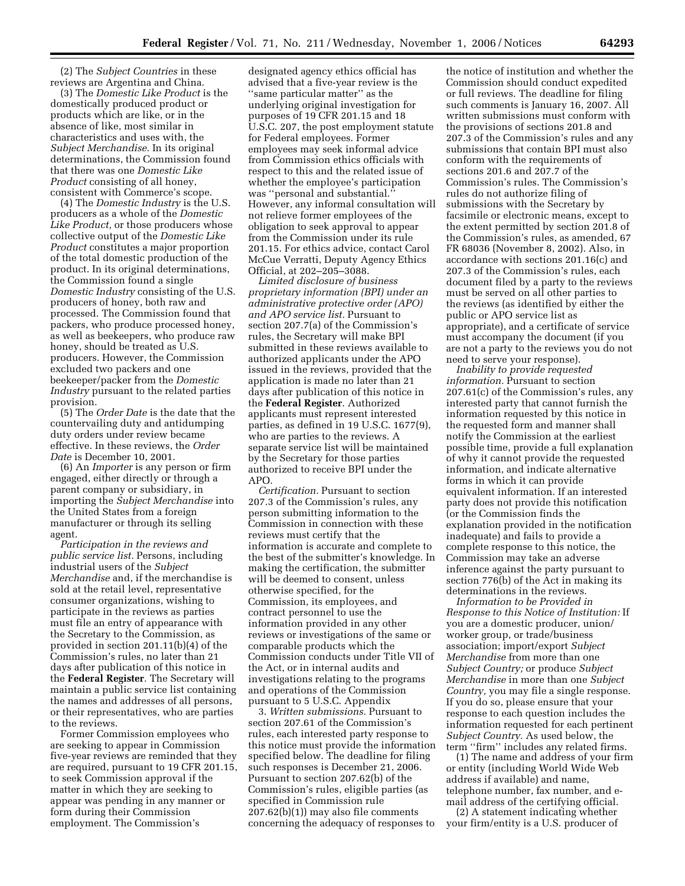(2) The *Subject Countries* in these reviews are Argentina and China.

(3) The *Domestic Like Product* is the domestically produced product or products which are like, or in the absence of like, most similar in characteristics and uses with, the *Subject Merchandise*. In its original determinations, the Commission found that there was one *Domestic Like Product* consisting of all honey, consistent with Commerce's scope.

(4) The *Domestic Industry* is the U.S. producers as a whole of the *Domestic Like Product,* or those producers whose collective output of the *Domestic Like Product* constitutes a major proportion of the total domestic production of the product. In its original determinations, the Commission found a single *Domestic Industry* consisting of the U.S. producers of honey, both raw and processed. The Commission found that packers, who produce processed honey, as well as beekeepers, who produce raw honey, should be treated as U.S. producers. However, the Commission excluded two packers and one beekeeper/packer from the *Domestic Industry* pursuant to the related parties provision.

(5) The *Order Date* is the date that the countervailing duty and antidumping duty orders under review became effective. In these reviews, the *Order Date* is December 10, 2001.

(6) An *Importer* is any person or firm engaged, either directly or through a parent company or subsidiary, in importing the *Subject Merchandise* into the United States from a foreign manufacturer or through its selling agent.

*Participation in the reviews and public service list.* Persons, including industrial users of the *Subject Merchandise* and, if the merchandise is sold at the retail level, representative consumer organizations, wishing to participate in the reviews as parties must file an entry of appearance with the Secretary to the Commission, as provided in section 201.11(b)(4) of the Commission's rules, no later than 21 days after publication of this notice in the **Federal Register**. The Secretary will maintain a public service list containing the names and addresses of all persons, or their representatives, who are parties to the reviews.

Former Commission employees who are seeking to appear in Commission five-year reviews are reminded that they are required, pursuant to 19 CFR 201.15, to seek Commission approval if the matter in which they are seeking to appear was pending in any manner or form during their Commission employment. The Commission's

designated agency ethics official has advised that a five-year review is the ''same particular matter'' as the underlying original investigation for purposes of 19 CFR 201.15 and 18 U.S.C. 207, the post employment statute for Federal employees. Former employees may seek informal advice from Commission ethics officials with respect to this and the related issue of whether the employee's participation was ''personal and substantial.'' However, any informal consultation will not relieve former employees of the obligation to seek approval to appear from the Commission under its rule 201.15. For ethics advice, contact Carol McCue Verratti, Deputy Agency Ethics Official, at 202–205–3088.

*Limited disclosure of business proprietary information (BPI) under an administrative protective order (APO) and APO service list.* Pursuant to section 207.7(a) of the Commission's rules, the Secretary will make BPI submitted in these reviews available to authorized applicants under the APO issued in the reviews, provided that the application is made no later than 21 days after publication of this notice in the **Federal Register**. Authorized applicants must represent interested parties, as defined in 19 U.S.C. 1677(9), who are parties to the reviews. A separate service list will be maintained by the Secretary for those parties authorized to receive BPI under the APO.

*Certification.* Pursuant to section 207.3 of the Commission's rules, any person submitting information to the Commission in connection with these reviews must certify that the information is accurate and complete to the best of the submitter's knowledge. In making the certification, the submitter will be deemed to consent, unless otherwise specified, for the Commission, its employees, and contract personnel to use the information provided in any other reviews or investigations of the same or comparable products which the Commission conducts under Title VII of the Act, or in internal audits and investigations relating to the programs and operations of the Commission pursuant to 5 U.S.C. Appendix

3. *Written submissions.* Pursuant to section 207.61 of the Commission's rules, each interested party response to this notice must provide the information specified below. The deadline for filing such responses is December 21, 2006. Pursuant to section 207.62(b) of the Commission's rules, eligible parties (as specified in Commission rule 207.62(b)(1)) may also file comments concerning the adequacy of responses to

the notice of institution and whether the Commission should conduct expedited or full reviews. The deadline for filing such comments is January 16, 2007. All written submissions must conform with the provisions of sections 201.8 and 207.3 of the Commission's rules and any submissions that contain BPI must also conform with the requirements of sections 201.6 and 207.7 of the Commission's rules. The Commission's rules do not authorize filing of submissions with the Secretary by facsimile or electronic means, except to the extent permitted by section 201.8 of the Commission's rules, as amended, 67 FR 68036 (November 8, 2002). Also, in accordance with sections 201.16(c) and 207.3 of the Commission's rules, each document filed by a party to the reviews must be served on all other parties to the reviews (as identified by either the public or APO service list as appropriate), and a certificate of service must accompany the document (if you are not a party to the reviews you do not need to serve your response).

*Inability to provide requested information.* Pursuant to section 207.61(c) of the Commission's rules, any interested party that cannot furnish the information requested by this notice in the requested form and manner shall notify the Commission at the earliest possible time, provide a full explanation of why it cannot provide the requested information, and indicate alternative forms in which it can provide equivalent information. If an interested party does not provide this notification (or the Commission finds the explanation provided in the notification inadequate) and fails to provide a complete response to this notice, the Commission may take an adverse inference against the party pursuant to section 776(b) of the Act in making its determinations in the reviews.

*Information to be Provided in Response to this Notice of Institution:* If you are a domestic producer, union/ worker group, or trade/business association; import/export *Subject Merchandise* from more than one *Subject Country;* or produce *Subject Merchandise* in more than one *Subject Country,* you may file a single response. If you do so, please ensure that your response to each question includes the information requested for each pertinent *Subject Country.* As used below, the term ''firm'' includes any related firms.

(1) The name and address of your firm or entity (including World Wide Web address if available) and name, telephone number, fax number, and email address of the certifying official.

(2) A statement indicating whether your firm/entity is a U.S. producer of